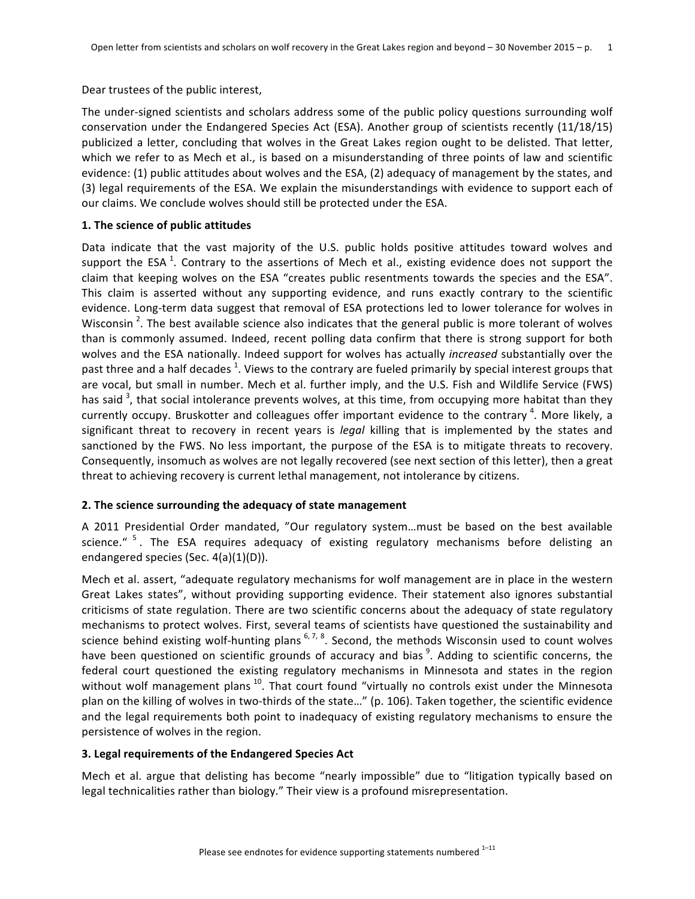Dear trustees of the public interest,

The under-signed scientists and scholars address some of the public policy questions surrounding wolf conservation under the Endangered Species Act (ESA). Another group of scientists recently (11/18/15) publicized a letter, concluding that wolves in the Great Lakes region ought to be delisted. That letter, which we refer to as Mech et al., is based on a misunderstanding of three points of law and scientific evidence: (1) public attitudes about wolves and the ESA, (2) adequacy of management by the states, and (3) legal requirements of the ESA. We explain the misunderstandings with evidence to support each of our claims. We conclude wolves should still be protected under the ESA.

# **1.** The science of public attitudes

Data indicate that the vast majority of the U.S. public holds positive attitudes toward wolves and support the ESA  $^1$ . Contrary to the assertions of Mech et al., existing evidence does not support the claim that keeping wolves on the ESA "creates public resentments towards the species and the ESA". This claim is asserted without any supporting evidence, and runs exactly contrary to the scientific evidence. Long-term data suggest that removal of ESA protections led to lower tolerance for wolves in Wisconsin <sup>2</sup>. The best available science also indicates that the general public is more tolerant of wolves than is commonly assumed. Indeed, recent polling data confirm that there is strong support for both wolves and the ESA nationally. Indeed support for wolves has actually *increased* substantially over the past three and a half decades <sup>1</sup>. Views to the contrary are fueled primarily by special interest groups that are vocal, but small in number. Mech et al. further imply, and the U.S. Fish and Wildlife Service (FWS) has said  $^3$ , that social intolerance prevents wolves, at this time, from occupying more habitat than they currently occupy. Bruskotter and colleagues offer important evidence to the contrary <sup>4</sup>. More likely, a significant threat to recovery in recent years is *legal* killing that is implemented by the states and sanctioned by the FWS. No less important, the purpose of the ESA is to mitigate threats to recovery. Consequently, insomuch as wolves are not legally recovered (see next section of this letter), then a great threat to achieving recovery is current lethal management, not intolerance by citizens.

# 2. The science surrounding the adequacy of state management

A 2011 Presidential Order mandated, "Our regulatory system...must be based on the best available science." <sup>5</sup>. The ESA requires adequacy of existing regulatory mechanisms before delisting an endangered species (Sec. 4(a)(1)(D)).

Mech et al. assert, "adequate regulatory mechanisms for wolf management are in place in the western Great Lakes states", without providing supporting evidence. Their statement also ignores substantial criticisms of state regulation. There are two scientific concerns about the adequacy of state regulatory mechanisms to protect wolves. First, several teams of scientists have questioned the sustainability and science behind existing wolf-hunting plans  $^{6,7,8}$ . Second, the methods Wisconsin used to count wolves have been questioned on scientific grounds of accuracy and bias <sup>9</sup>. Adding to scientific concerns, the federal court questioned the existing regulatory mechanisms in Minnesota and states in the region without wolf management plans  $^{10}$ . That court found "virtually no controls exist under the Minnesota plan on the killing of wolves in two-thirds of the state..." (p. 106). Taken together, the scientific evidence and the legal requirements both point to inadequacy of existing regulatory mechanisms to ensure the persistence of wolves in the region.

# **3. Legal requirements of the Endangered Species Act**

Mech et al. argue that delisting has become "nearly impossible" due to "litigation typically based on legal technicalities rather than biology." Their view is a profound misrepresentation.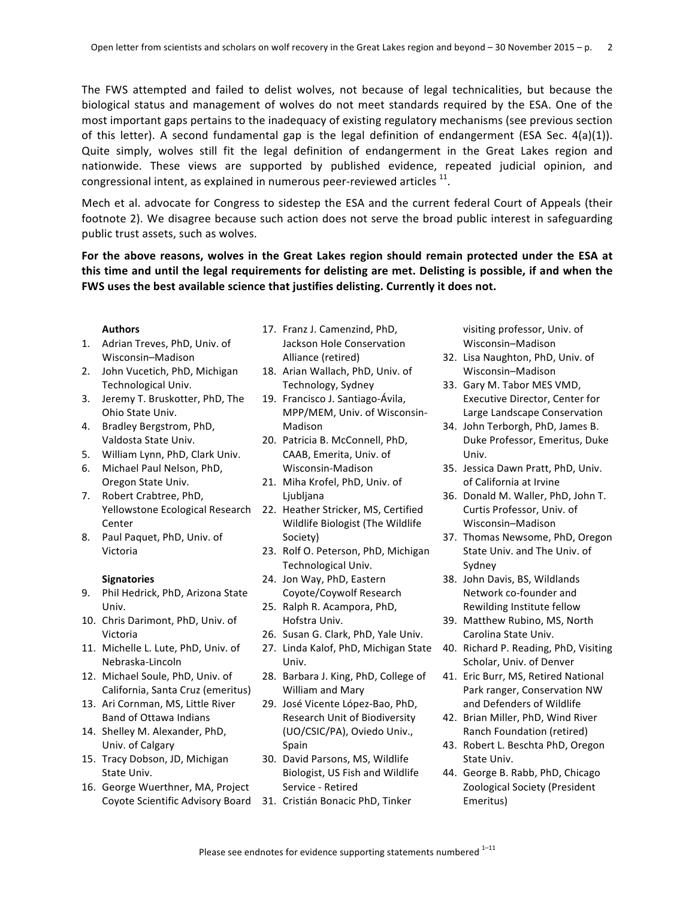The FWS attempted and failed to delist wolves, not because of legal technicalities, but because the biological status and management of wolves do not meet standards required by the ESA. One of the most important gaps pertains to the inadequacy of existing regulatory mechanisms (see previous section of this letter). A second fundamental gap is the legal definition of endangerment (ESA Sec.  $4(a)(1)$ ). Quite simply, wolves still fit the legal definition of endangerment in the Great Lakes region and nationwide. These views are supported by published evidence, repeated judicial opinion, and congressional intent, as explained in numerous peer-reviewed articles  $<sup>11</sup>$ .</sup>

Mech et al. advocate for Congress to sidestep the ESA and the current federal Court of Appeals (their footnote 2). We disagree because such action does not serve the broad public interest in safeguarding public trust assets, such as wolves.

For the above reasons, wolves in the Great Lakes region should remain protected under the ESA at this time and until the legal requirements for delisting are met. Delisting is possible, if and when the FWS uses the best available science that justifies delisting. Currently it does not.

### **Authors**

- 1. Adrian Treves, PhD, Univ. of Wisconsin–Madison
- 2. John Vucetich, PhD, Michigan Technological Univ.
- 3. Jeremy T. Bruskotter, PhD, The Ohio State Univ.
- 4. Bradley Bergstrom, PhD, Valdosta State Univ.
- 5. William Lynn, PhD, Clark Univ.
- 6. Michael Paul Nelson, PhD, Oregon State Univ.
- 7. Robert Crabtree, PhD, Center
- 8. Paul Paquet, PhD, Univ. of Victoria

### **Signatories**

- 9. Phil Hedrick, PhD, Arizona State Univ.
- 10. Chris Darimont, PhD, Univ. of Victoria
- 11. Michelle L. Lute, PhD, Univ. of Nebraska-Lincoln
- 12. Michael Soule, PhD, Univ. of California, Santa Cruz (emeritus)
- 13. Ari Cornman, MS, Little River Band of Ottawa Indians
- 14. Shelley M. Alexander, PhD, Univ. of Calgary
- 15. Tracy Dobson, JD, Michigan State Univ.
- 16. George Wuerthner, MA, Project
- 17. Franz J. Camenzind, PhD, Jackson Hole Conservation Alliance (retired)
- 18. Arian Wallach, PhD, Univ. of Technology, Sydney
- 19. Francisco J. Santiago-Ávila, MPP/MEM, Univ. of Wisconsin-Madison
- 20. Patricia B. McConnell, PhD, CAAB, Emerita, Univ. of Wisconsin-Madison
- 21. Miha Krofel, PhD, Univ. of Ljubljana
- Yellowstone Ecological Research 22. Heather Stricker, MS, Certified Wildlife Biologist (The Wildlife Society)
	- 23. Rolf O. Peterson, PhD, Michigan Technological Univ.
	- 24. Jon Way, PhD, Eastern Coyote/Coywolf Research
	- 25. Ralph R. Acampora, PhD, Hofstra Univ.
	- 26. Susan G. Clark, PhD, Yale Univ.
	- 27. Linda Kalof, PhD, Michigan State Univ.
	- 28. Barbara J. King, PhD, College of William and Mary
	- 29. José Vicente López-Bao, PhD, Research Unit of Biodiversity (UO/CSIC/PA), Oviedo Univ., Spain
	- 30. David Parsons, MS, Wildlife Biologist, US Fish and Wildlife Service - Retired
- Coyote Scientific Advisory Board 31. Cristián Bonacic PhD, Tinker

visiting professor, Univ. of Wisconsin–Madison

- 32. Lisa Naughton, PhD, Univ. of Wisconsin–Madison
- 33. Gary M. Tabor MES VMD, Executive Director, Center for Large Landscape Conservation
- 34. John Terborgh, PhD, James B. Duke Professor, Emeritus, Duke Univ.
- 35. Jessica Dawn Pratt, PhD, Univ. of California at Irvine
- 36. Donald M. Waller, PhD, John T. Curtis Professor, Univ. of Wisconsin–Madison
- 37. Thomas Newsome, PhD, Oregon State Univ. and The Univ. of Sydney
- 38. John Davis, BS, Wildlands Network co-founder and Rewilding Institute fellow
- 39. Matthew Rubino, MS, North Carolina State Univ.
- 40. Richard P. Reading, PhD, Visiting Scholar, Univ. of Denver
- 41. Eric Burr, MS, Retired National Park ranger, Conservation NW and Defenders of Wildlife
- 42. Brian Miller, PhD, Wind River Ranch Foundation (retired)
- 43. Robert L. Beschta PhD, Oregon State Univ.
- 44. George B. Rabb, PhD, Chicago Zoological Society (President Emeritus)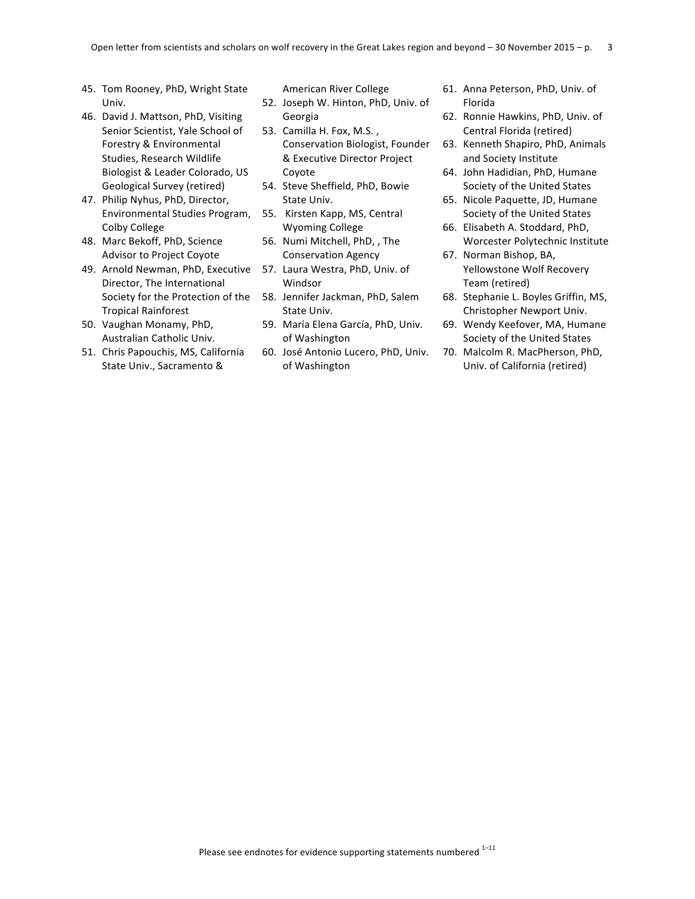- 45. Tom Rooney, PhD, Wright State Univ.
- 46. David J. Mattson, PhD, Visiting Senior Scientist, Yale School of Forestry & Environmental Studies, Research Wildlife Biologist & Leader Colorado, US Geological Survey (retired)
- 47. Philip Nyhus, PhD, Director, Environmental Studies Program, Colby College
- 48. Marc Bekoff, PhD, Science Advisor to Project Coyote
- 49. Arnold Newman, PhD, Executive 57. Laura Westra, PhD, Univ. of Director, The International Society for the Protection of the Tropical Rainforest
- 50. Vaughan Monamy, PhD, Australian Catholic Univ.
- 51. Chris Papouchis, MS, California State Univ., Sacramento &

American River College

- 52. Joseph W. Hinton, PhD, Univ. of Georgia
- 53. Camilla H. Fox, M.S., Conservation Biologist, Founder & Executive Director Project Coyote
- 54. Steve Sheffield, PhD, Bowie State Univ.
- 55. Kirsten Kapp, MS, Central Wyoming College
- 56. Numi Mitchell, PhD, , The Conservation Agency
- Windsor
- 58. Jennifer Jackman, PhD, Salem State Univ.
- 59. María Elena García, PhD, Univ. of Washington
- 60. José Antonio Lucero, PhD, Univ. of Washington
- 61. Anna Peterson, PhD, Univ. of Florida
- 62. Ronnie Hawkins, PhD, Univ. of Central Florida (retired)
- 63. Kenneth Shapiro, PhD, Animals and Society Institute
- 64. John Hadidian, PhD, Humane Society of the United States
- 65. Nicole Paquette, JD, Humane Society of the United States
- 66. Elisabeth A. Stoddard, PhD, Worcester Polytechnic Institute
- 67. Norman Bishop, BA, Yellowstone Wolf Recovery Team (retired)
- 68. Stephanie L. Boyles Griffin, MS, Christopher Newport Univ.
- 69. Wendy Keefover, MA, Humane Society of the United States
- 70. Malcolm R. MacPherson, PhD, Univ. of California (retired)